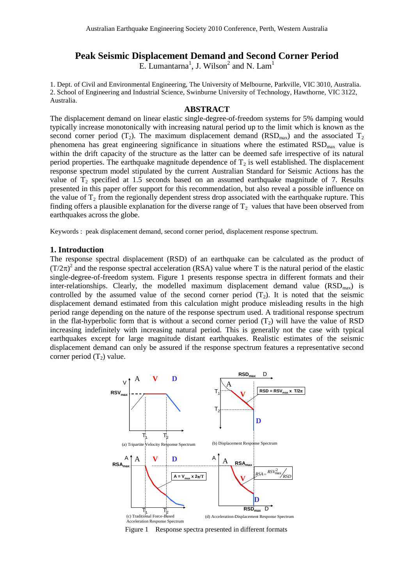# **Peak Seismic Displacement Demand and Second Corner Period**

E. Lumantarna<sup>1</sup>, J. Wilson<sup>2</sup> and N. Lam<sup>1</sup>

1. Dept. of Civil and Environmental Engineering, The University of Melbourne, Parkville, VIC 3010, Australia. 2. School of Engineering and Industrial Science, Swinburne University of Technology, Hawthorne, VIC 3122, Australia.

#### **ABSTRACT**

The displacement demand on linear elastic single-degree-of-freedom systems for 5% damping would typically increase monotonically with increasing natural period up to the limit which is known as the second corner period (T<sub>2</sub>). The maximum displacement demand (RSD<sub>max</sub>) and the associated T<sub>2</sub> phenomena has great engineering significance in situations where the estimated  $RSD<sub>max</sub>$  value is within the drift capacity of the structure as the latter can be deemed safe irrespective of its natural period properties. The earthquake magnitude dependence of  $T_2$  is well established. The displacement response spectrum model stipulated by the current Australian Standard for Seismic Actions has the value of  $T_2$  specified at 1.5 seconds based on an assumed earthquake magnitude of 7. Results presented in this paper offer support for this recommendation, but also reveal a possible influence on the value of  $T_2$  from the regionally dependent stress drop associated with the earthquake rupture. This finding offers a plausible explanation for the diverse range of  $T_2$  values that have been observed from earthquakes across the globe.

Keywords : peak displacement demand, second corner period, displacement response spectrum.

### **1. Introduction**

The response spectral displacement (RSD) of an earthquake can be calculated as the product of  $(T/2\pi)^2$  and the response spectral acceleration (RSA) value where T is the natural period of the elastic single-degree-of-freedom system. Figure 1 presents response spectra in different formats and their inter-relationships. Clearly, the modelled maximum displacement demand value  $(RSD<sub>max</sub>)$  is controlled by the assumed value of the second corner period  $(T_2)$ . It is noted that the seismic displacement demand estimated from this calculation might produce misleading results in the high period range depending on the nature of the response spectrum used. A traditional response spectrum in the flat-hyperbolic form that is without a second corner period  $(T<sub>2</sub>)$  will have the value of RSD increasing indefinitely with increasing natural period. This is generally not the case with typical earthquakes except for large magnitude distant earthquakes. Realistic estimates of the seismic displacement demand can only be assured if the response spectrum features a representative second corner period  $(T_2)$  value.



Figure 1 Response spectra presented in different formats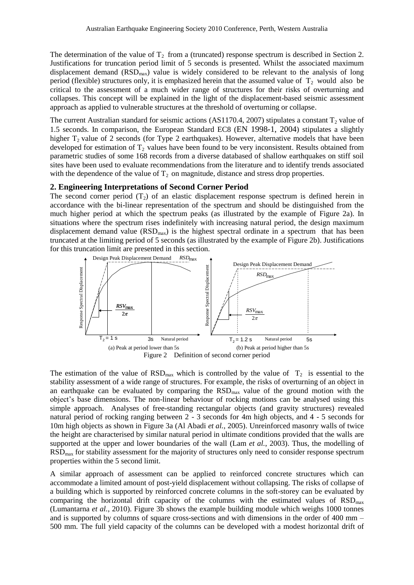The determination of the value of  $T_2$  from a (truncated) response spectrum is described in Section 2. Justifications for truncation period limit of 5 seconds is presented. Whilst the associated maximum displacement demand  $(RSD<sub>max</sub>)$  value is widely considered to be relevant to the analysis of long period (flexible) structures only, it is emphasized herein that the assumed value of  $T_2$  would also be critical to the assessment of a much wider range of structures for their risks of overturning and collapses. This concept will be explained in the light of the displacement-based seismic assessment approach as applied to vulnerable structures at the threshold of overturning or collapse.

The current Australian standard for seismic actions (AS1170.4, 2007) stipulates a constant  $T_2$  value of 1.5 seconds. In comparison, the European Standard EC8 (EN 1998-1, 2004) stipulates a slightly higher  $T_2$  value of 2 seconds (for Type 2 earthquakes). However, alternative models that have been developed for estimation of  $T_2$  values have been found to be very inconsistent. Results obtained from parametric studies of some 168 records from a diverse databased of shallow earthquakes on stiff soil sites have been used to evaluate recommendations from the literature and to identify trends associated with the dependence of the value of  $T<sub>2</sub>$  on magnitude, distance and stress drop properties.

### **2. Engineering Interpretations of Second Corner Period**

The second corner period  $(T_2)$  of an elastic displacement response spectrum is defined herein in accordance with the bi-linear representation of the spectrum and should be distinguished from the much higher period at which the spectrum peaks (as illustrated by the example of Figure 2a). In situations where the spectrum rises indefinitely with increasing natural period, the design maximum displacement demand value  $(RSD<sub>max</sub>)$  is the highest spectral ordinate in a spectrum that has been truncated at the limiting period of 5 seconds (as illustrated by the example of Figure 2b). Justifications for this truncation limit are presented in this section.



The estimation of the value of  $\text{RSD}_{\text{max}}$  which is controlled by the value of  $T_2$  is essential to the stability assessment of a wide range of structures. For example, the risks of overturning of an object in an earthquake can be evaluated by comparing the  $RSD<sub>max</sub>$  value of the ground motion with the object's base dimensions. The non-linear behaviour of rocking motions can be analysed using this simple approach. Analyses of free-standing rectangular objects (and gravity structures) revealed natural period of rocking ranging between 2 - 3 seconds for 4m high objects, and 4 - 5 seconds for 10m high objects as shown in Figure 3a (Al Abadi *et al.*, 2005). Unreinforced masonry walls of twice the height are characterised by similar natural period in ultimate conditions provided that the walls are supported at the upper and lower boundaries of the wall (Lam *et al.*, 2003). Thus, the modelling of RSD<sub>max</sub> for stability assessment for the majority of structures only need to consider response spectrum properties within the 5 second limit.

A similar approach of assessment can be applied to reinforced concrete structures which can accommodate a limited amount of post-yield displacement without collapsing. The risks of collapse of a building which is supported by reinforced concrete columns in the soft-storey can be evaluated by comparing the horizontal drift capacity of the columns with the estimated values of  $RSD<sub>max</sub>$ (Lumantarna *et al.*, 2010). Figure 3b shows the example building module which weighs 1000 tonnes and is supported by columns of square cross-sections and with dimensions in the order of 400 mm – 500 mm. The full yield capacity of the columns can be developed with a modest horizontal drift of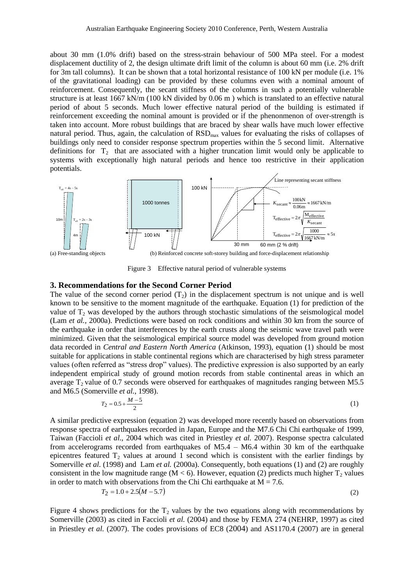about 30 mm (1.0% drift) based on the stress-strain behaviour of 500 MPa steel. For a modest displacement ductility of 2, the design ultimate drift limit of the column is about 60 mm (i.e. 2% drift for 3m tall columns). It can be shown that a total horizontal resistance of 100 kN per module (i.e. 1%) of the gravitational loading) can be provided by these columns even with a nominal amount of reinforcement. Consequently, the secant stiffness of the columns in such a potentially vulnerable structure is at least 1667 kN/m (100 kN divided by 0.06 m ) which is translated to an effective natural period of about 5 seconds. Much lower effective natural period of the building is estimated if reinforcement exceeding the nominal amount is provided or if the phenonmenon of over-strength is taken into account. More robust buildings that are braced by shear walls have much lower effective natural period. Thus, again, the calculation of  $RSD<sub>max</sub>$  values for evaluating the risks of collapses of buildings only need to consider response spectrum properties within the 5 second limit. Alternative definitions for  $T_2$  that are associated with a higher truncation limit would only be applicable to systems with exceptionally high natural periods and hence too restrictive in their application potentials.



Figure 3 Effective natural period of vulnerable systems

## **3. Recommendations for the Second Corner Period**

The value of the second corner period  $(T<sub>2</sub>)$  in the displacement spectrum is not unique and is well known to be sensitive to the moment magnitude of the earthquake. Equation (1) for prediction of the value of  $T_2$  was developed by the authors through stochastic simulations of the seismological model (Lam *et al.,* 2000a). Predictions were based on rock conditions and within 30 km from the source of the earthquake in order that interferences by the earth crusts along the seismic wave travel path were minimized. Given that the seismological empirical source model was developed from ground motion data recorded in *Central and Eastern North America* (Atkinson, 1993), equation (1) should be most suitable for applications in stable continental regions which are characterised by high stress parameter values (often referred as "stress drop" values). The predictive expression is also supported by an early independent empirical study of ground motion records from stable continental areas in which an average  $T<sub>2</sub>$  value of 0.7 seconds were observed for earthquakes of magnitudes ranging between M5.5 and M6.5 (Somerville *et al.*, 1998).

$$
T_2 = 0.5 + \frac{M - 5}{2} \tag{1}
$$

A similar predictive expression (equation 2) was developed more recently based on observations from response spectra of earthquakes recorded in Japan, Europe and the M7.6 Chi Chi earthquake of 1999, Taiwan (Faccioli *et al.,* 2004 which was cited in Priestley *et al.* 2007). Response spectra calculated from accelerograms recorded from earthquakes of M5.4 – M6.4 within 30 km of the earthquake epicentres featured  $T_2$  values at around 1 second which is consistent with the earlier findings by Somerville *et al.* (1998) and Lam *et al.* (2000a). Consequently, both equations (1) and (2) are roughly consistent in the low magnitude range (M  $<$  6). However, equation (2) predicts much higher  $T_2$  values in order to match with observations from the Chi Chi earthquake at  $M = 7.6$ .

$$
T_2 = 1.0 + 2.5(M - 5.7)
$$
 (2)

Figure 4 shows predictions for the  $T_2$  values by the two equations along with recommendations by Somerville (2003) as cited in Faccioli *et al.* (2004) and those by FEMA 274 (NEHRP, 1997) as cited in Priestley *et al.* (2007). The codes provisions of EC8 (2004) and AS1170.4 (2007) are in general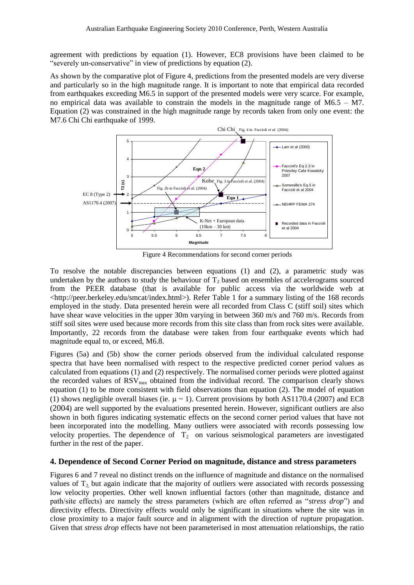agreement with predictions by equation (1). However, EC8 provisions have been claimed to be "severely un-conservative" in view of predictions by equation (2).

As shown by the comparative plot of Figure 4, predictions from the presented models are very diverse and particularly so in the high magnitude range. It is important to note that empirical data recorded from earthquakes exceeding M6.5 in support of the presented models were very scarce. For example, no empirical data was available to constrain the models in the magnitude range of M6.5 – M7. Equation (2) was constrained in the high magnitude range by records taken from only one event: the M7.6 Chi Chi earthquake of 1999.



Figure 4 Recommendations for second corner periods

To resolve the notable discrepancies between equations (1) and (2), a parametric study was undertaken by the authors to study the behaviour of  $T<sub>2</sub>$  based on ensembles of accelerograms sourced from the PEER database (that is available for public access via the worldwide web at <http://peer.berkeley.edu/smcat/index.html>). Refer Table 1 for a summary listing of the 168 records employed in the study. Data presented herein were all recorded from Class C (stiff soil) sites which have shear wave velocities in the upper 30m varying in between 360 m/s and 760 m/s. Records from stiff soil sites were used because more records from this site class than from rock sites were available. Importantly, 22 records from the database were taken from four earthquake events which had magnitude equal to, or exceed, M6.8.

Figures (5a) and (5b) show the corner periods observed from the individual calculated response spectra that have been normalised with respect to the respective predicted corner period values as calculated from equations (1) and (2) respectively. The normalised corner periods were plotted against the recorded values of  $RSV<sub>max</sub>$  obtained from the individual record. The comparison clearly shows equation (1) to be more consistent with field observations than equation (2). The model of equation (1) shows negligible overall biases (ie.  $\mu \sim 1$ ). Current provisions by both AS1170.4 (2007) and EC8 (2004) are well supported by the evaluations presented herein. However, significant outliers are also shown in both figures indicating systematic effects on the second corner period values that have not been incorporated into the modelling. Many outliers were associated with records possessing low velocity properties. The dependence of  $T_2$  on various seismological parameters are investigated further in the rest of the paper.

# **4. Dependence of Second Corner Period on magnitude, distance and stress parameters**

Figures 6 and 7 reveal no distinct trends on the influence of magnitude and distance on the normalised values of  $T<sub>2</sub>$  but again indicate that the majority of outliers were associated with records possessing low velocity properties. Other well known influential factors (other than magnitude, distance and path/site effects) are namely the stress parameters (which are often referred as "*stress drop*") and directivity effects. Directivity effects would only be significant in situations where the site was in close proximity to a major fault source and in alignment with the direction of rupture propagation. Given that *stress drop* effects have not been parameterised in most attenuation relationships, the ratio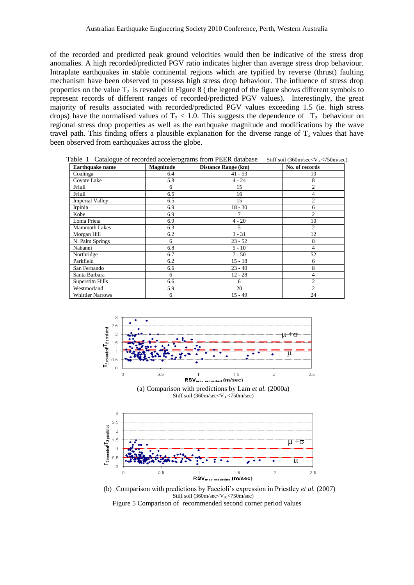of the recorded and predicted peak ground velocities would then be indicative of the stress drop anomalies. A high recorded/predicted PGV ratio indicates higher than average stress drop behaviour. Intraplate earthquakes in stable continental regions which are typified by reverse (thrust) faulting mechanism have been observed to possess high stress drop behaviour. The influence of stress drop properties on the value  $T_2$  is revealed in Figure 8 ( the legend of the figure shows different symbols to represent records of different ranges of recorded/predicted PGV values). Interestingly, the great majority of results associated with recorded/predicted PGV values exceeding 1.5 (ie. high stress drops) have the normalised values of  $T_2$  < 1.0. This suggests the dependence of  $T_2$  behaviour on regional stress drop properties as well as the earthquake magnitude and modifications by the wave travel path. This finding offers a plausible explanation for the diverse range of  $T_2$  values that have been observed from earthquakes across the globe.

**Earthquake name Magnitude Distance Range (km) No. of records** Coalinga  $\begin{array}{|c|c|c|c|c|c|c|c|c|} \hline \end{array}$  6.4  $\begin{array}{|c|c|c|c|c|c|c|c|} \hline \end{array}$  41 - 53  $\begin{array}{|c|c|c|c|c|c|c|c|} \hline \end{array}$  10 Coyote Lake 5.8 4 - 24 8 Friuli 15 2 Friuli 16 16 16 16 16 16 16 16 17 18 18 19 18 19 18 19 18 19 18 19 19 19 10 11 11 11 11 11 11 11 11 11 11 11 1 Imperial Valley 6.5 15 2 Irpinia 18 - 30 18 - 30 18 - 30 18 - 30 18 - 30 18 - 31 Kobe 6.9 1 2 **Loma Prieta** 6.9 6.9 4 - 20 10 Mammoth Lakes 6.3 5 5 2 Morgan Hill **6.2** 3 - 31 12 N. Palm Springs 6 23 - 52 8<br>Nahanni 6.8 5 - 10 4 Nahanni 6.8 5 - 10 4 Northridge 6.7 1 - 50 52 Parkfield 6.2 15 - 18 6 San Fernando 6.6 23 - 40 8 Santa Barbara **6** 12 - 28 4 Superstitn Hills 6.6 6 6 2 Westmorland 5.9 20 2<br>Whittier Narrows 6 15 - 49 24 Whittier Narrows 6

Table 1 Catalogue of recorded accelerograms from PEER database Stiff soil (360m/sec<V30 $\leq$ 750m/sec)



Stiff soil  $(360 \text{m/sec} < V_{30} < 750 \text{m/sec})$ 



(b) Comparison with predictions by Faccioli's expression in Priestley *et al.* (2007) Stiff soil (360m/sec<V<sub>30</sub><750m/sec) Figure 5 Comparison of recommended second corner period values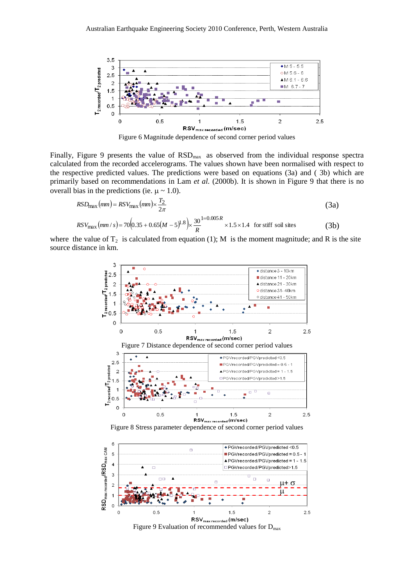



Finally, Figure 9 presents the value of  $RSD<sub>max</sub>$  as observed from the individual response spectra calculated from the recorded accelerograms. The values shown have been normalised with respect to the respective predicted values. The predictions were based on equations (3a) and ( 3b) which are primarily based on recommendations in Lam *et al.* (2000b). It is shown in Figure 9 that there is no overall bias in the predictions (ie.  $\mu \sim 1.0$ ).

$$
RSD_{\text{max}}(mm) = RSV_{\text{max}}(mm) \times \frac{T_2}{2\pi}
$$
\n(3a)

$$
RSV_{\text{max}}(mm/s) = 70(0.35 + 0.65(M - 5)^{1.8}) \times \frac{30}{R} \times 1.5 \times 1.4 \text{ for stiff soil sites}
$$
 (3b)

where the value of  $T_2$  is calculated from equation (1); M is the moment magnitude; and R is the site source distance in km.



 $1.5$ RSV<sub>max recorded</sub> (m/sec) Figure 9 Evaluation of recommended values for  $D_{\text{max}}$ 

 $\overline{2}$ 

 $2.5$ 

 $\overline{1}$ 

 $0.5$ 

 $\circ$